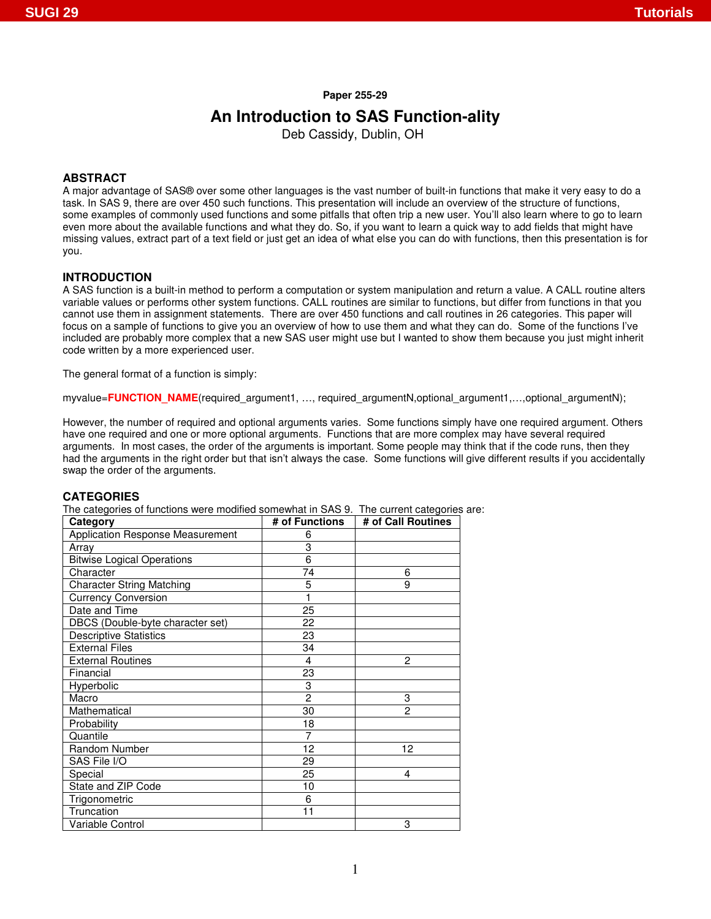#### **Paper 255-29**

# **An Introduction to SAS Function-ality**

Deb Cassidy, Dublin, OH

## **ABSTRACT**

A major advantage of SAS® over some other languages is the vast number of built-in functions that make it very easy to do a task. In SAS 9, there are over 450 such functions. This presentation will include an overview of the structure of functions, some examples of commonly used functions and some pitfalls that often trip a new user. You'll also learn where to go to learn even more about the available functions and what they do. So, if you want to learn a quick way to add fields that might have missing values, extract part of a text field or just get an idea of what else you can do with functions, then this presentation is for you.

### **INTRODUCTION**

A SAS function is a built-in method to perform a computation or system manipulation and return a value. A CALL routine alters variable values or performs other system functions. CALL routines are similar to functions, but differ from functions in that you cannot use them in assignment statements. There are over 450 functions and call routines in 26 categories. This paper will focus on a sample of functions to give you an overview of how to use them and what they can do. Some of the functions I've included are probably more complex that a new SAS user might use but I wanted to show them because you just might inherit code written by a more experienced user.

The general format of a function is simply:

myvalue=**FUNCTION\_NAME**(required\_argument1, ..., required\_argumentN,optional\_argument1,...,optional\_argumentN);

However, the number of required and optional arguments varies. Some functions simply have one required argument. Others have one required and one or more optional arguments. Functions that are more complex may have several required arguments. In most cases, the order of the arguments is important. Some people may think that if the code runs, then they had the arguments in the right order but that isn't always the case. Some functions will give different results if you accidentally swap the order of the arguments.

#### **CATEGORIES**

The categories of functions were modified somewhat in SAS 9. The current categories are:

| <b>Category</b>                         | # of Functions | # of Call Routines |
|-----------------------------------------|----------------|--------------------|
| <b>Application Response Measurement</b> | 6              |                    |
| Array                                   | 3              |                    |
| <b>Bitwise Logical Operations</b>       | 6              |                    |
| Character                               | 74             | 6                  |
| <b>Character String Matching</b>        | 5              | 9                  |
| <b>Currency Conversion</b>              | 1              |                    |
| Date and Time                           | 25             |                    |
| DBCS (Double-byte character set)        | 22             |                    |
| <b>Descriptive Statistics</b>           | 23             |                    |
| <b>External Files</b>                   | 34             |                    |
| <b>External Routines</b>                | 4              | 2                  |
| Financial                               | 23             |                    |
| Hyperbolic                              | 3              |                    |
| Macro                                   | $\overline{2}$ | 3                  |
| Mathematical                            | 30             | $\overline{a}$     |
| Probability                             | 18             |                    |
| Quantile                                | 7              |                    |
| Random Number                           | 12             | 12                 |
| SAS File I/O                            | 29             |                    |
| Special                                 | 25             | 4                  |
| State and ZIP Code                      | 10             |                    |
| Trigonometric                           | 6              |                    |
| Truncation                              | 11             |                    |
| Variable Control                        |                | 3                  |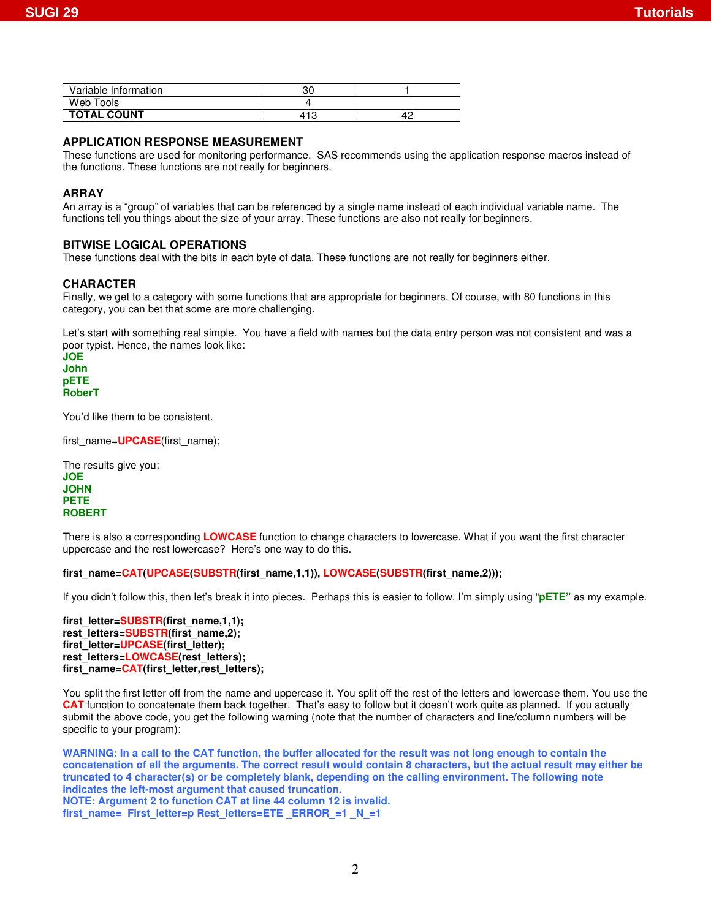| Variable Information | nr<br>υU |  |
|----------------------|----------|--|
| Web Tools            |          |  |
| <b>TOTAL COUNT</b>   | 413      |  |

# **APPLICATION RESPONSE MEASUREMENT**

These functions are used for monitoring performance. SAS recommends using the application response macros instead of the functions. These functions are not really for beginners.

## **ARRAY**

An array is a "group" of variables that can be referenced by a single name instead of each individual variable name. The functions tell you things about the size of your array. These functions are also not really for beginners.

### **BITWISE LOGICAL OPERATIONS**

These functions deal with the bits in each byte of data. These functions are not really for beginners either.

### **CHARACTER**

Finally, we get to a category with some functions that are appropriate for beginners. Of course, with 80 functions in this category, you can bet that some are more challenging.

Let's start with something real simple. You have a field with names but the data entry person was not consistent and was a poor typist. Hence, the names look like:

**JOE John pETE RoberT**

You'd like them to be consistent.

first\_name=**UPCASE**(first\_name);

The results give you: **JOE JOHN PETE ROBERT**

There is also a corresponding **LOWCASE** function to change characters to lowercase. What if you want the first character uppercase and the rest lowercase? Here's one way to do this.

**first\_name=CAT(UPCASE(SUBSTR(first\_name,1,1)), LOWCASE(SUBSTR(first\_name,2)));**

If you didn't follow this, then let's break it into pieces. Perhaps this is easier to follow. I'm simply using "**pETE"** as my example.

first\_letter=SUBSTR(first\_name.1.1); rest\_letters=SUBSTR(first\_name,2); first\_letter=UPCASE(first\_letter); **rest\_letters=LOWCASE(rest\_letters);** first\_name=CAT(first\_letter,rest\_letters);

You split the first letter off from the name and uppercase it. You split off the rest of the letters and lowercase them. You use the **CAT** function to concatenate them back together. That's easy to follow but it doesn't work quite as planned. If you actually submit the above code, you get the following warning (note that the number of characters and line/column numbers will be specific to your program):

WARNING: In a call to the CAT function, the buffer allocated for the result was not long enough to contain the concatenation of all the arguments. The correct result would contain 8 characters, but the actual result may either be **truncated to 4 character(s) or be completely blank, depending on the calling environment. The following note indicates the left-most argument that caused truncation. NOTE: Argument 2 to function CAT at line 44 column 12 is invalid. first\_name= First\_letter=p Rest\_letters=ETE \_ERROR\_=1 \_N\_=1**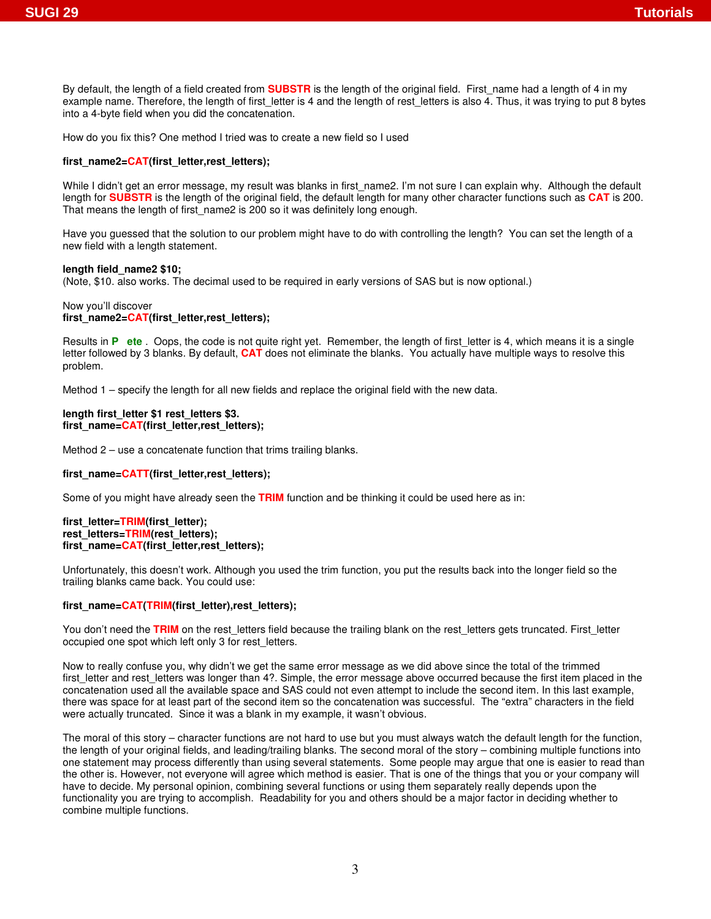By default, the length of a field created from **SUBSTR** is the length of the original field. First\_name had a length of 4 in my example name. Therefore, the length of first\_letter is 4 and the length of rest\_letters is also 4. Thus, it was trying to put 8 bytes into a 4-byte field when you did the concatenation.

How do you fix this? One method I tried was to create a new field so I used

## **first\_name2=CAT(first\_letter,rest\_letters);**

While I didn't get an error message, my result was blanks in first\_name2. I'm not sure I can explain why. Although the default length for **SUBSTR** is the length of the original field, the default length for many other character functions such as **CAT** is 200. That means the length of first\_name2 is 200 so it was definitely long enough.

Have you guessed that the solution to our problem might have to do with controlling the length? You can set the length of a new field with a length statement.

## **length field\_name2 \$10;**

(Note, \$10. also works. The decimal used to be required in early versions of SAS but is now optional.)

#### Now you'll discover **first\_name2=CAT(first\_letter,rest\_letters);**

Results in **P** ete. Oops, the code is not quite right yet. Remember, the length of first letter is 4, which means it is a single letter followed by 3 blanks. By default, **CAT** does not eliminate the blanks. You actually have multiple ways to resolve this problem.

Method 1 – specify the length for all new fields and replace the original field with the new data.

#### **length first\_letter \$1 rest\_letters \$3.** first\_name=CAT(first\_letter,rest\_letters);

Method 2 – use a concatenate function that trims trailing blanks.

# first\_name=CATT(first\_letter,rest\_letters);

Some of you might have already seen the **TRIM** function and be thinking it could be used here as in:

**first\_letter=TRIM(first\_letter);** rest\_letters=TRIM(rest\_letters); first\_name=CAT(first\_letter,rest\_letters);

Unfortunately, this doesn't work. Although you used the trim function, you put the results back into the longer field so the trailing blanks came back. You could use:

# **first\_name=CAT(TRIM(first\_letter),rest\_letters);**

You don't need the **TRIM** on the rest letters field because the trailing blank on the rest letters gets truncated. First letter occupied one spot which left only 3 for rest\_letters.

Now to really confuse you, why didn't we get the same error message as we did above since the total of the trimmed first letter and rest letters was longer than 4?. Simple, the error message above occurred because the first item placed in the concatenation used all the available space and SAS could not even attempt to include the second item. In this last example, there was space for at least part of the second item so the concatenation was successful. The "extra" characters in the field were actually truncated. Since it was a blank in my example, it wasn't obvious.

The moral of this story – character functions are not hard to use but you must always watch the default length for the function, the length of your original fields, and leading/trailing blanks. The second moral of the story – combining multiple functions into one statement may process differently than using several statements. Some people may argue that one is easier to read than the other is. However, not everyone will agree which method is easier. That is one of the things that you or your company will have to decide. My personal opinion, combining several functions or using them separately really depends upon the functionality you are trying to accomplish. Readability for you and others should be a major factor in deciding whether to combine multiple functions.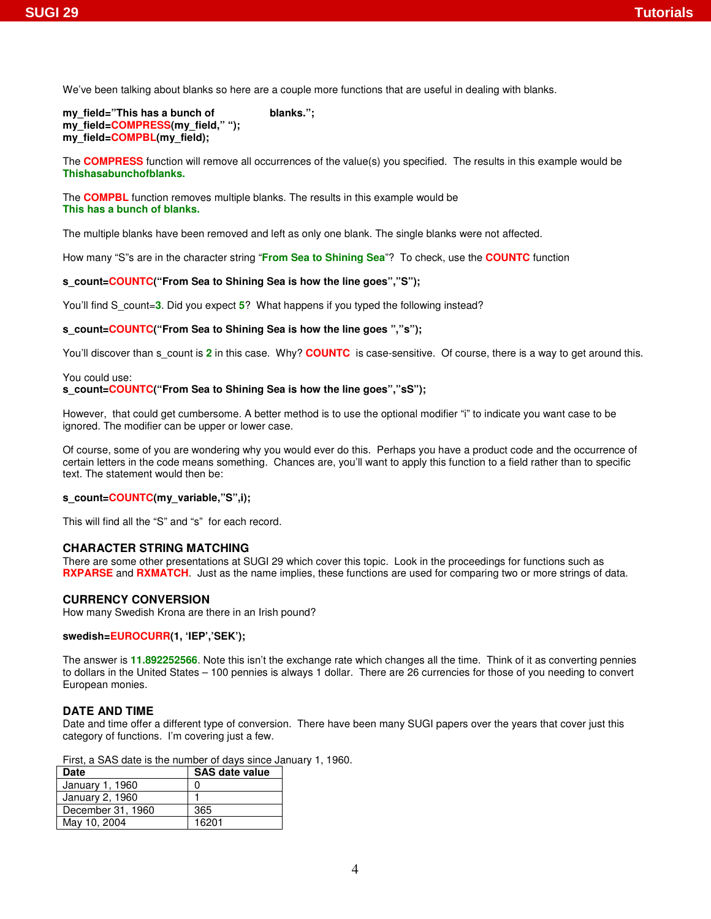We've been talking about blanks so here are a couple more functions that are useful in dealing with blanks.

```
my_field="This has a bunch of blanks.";
my_field=COMPRESS(my_field," ");
my_field=COMPBL(my_field);
```
The **COMPRESS** function will remove all occurrences of the value(s) you specified. The results in this example would be **Thishasabunchofblanks.**

The **COMPBL** function removes multiple blanks. The results in this example would be **This has a bunch of blanks.**

The multiple blanks have been removed and left as only one blank. The single blanks were not affected.

How many "S"s are in the character string "**From Sea to Shining Sea**"? To check, use the **COUNTC** function

# **s\_count=COUNTC("From Sea to Shining Sea is how the line goes","S");**

You'll find S\_count=**3**. Did you expect **5**? What happens if you typed the following instead?

# **s\_count=COUNTC("From Sea to Shining Sea is how the line goes ","s");**

You'll discover than s count is 2 in this case. Why? **COUNTC** is case-sensitive. Of course, there is a way to get around this.

## You could use: **s\_count=COUNTC("From Sea to Shining Sea is how the line goes","sS");**

However, that could get cumbersome. A better method is to use the optional modifier "i" to indicate you want case to be ignored. The modifier can be upper or lower case.

Of course, some of you are wondering why you would ever do this. Perhaps you have a product code and the occurrence of certain letters in the code means something. Chances are, you'll want to apply this function to a field rather than to specific text. The statement would then be:

# **s\_count=COUNTC(my\_variable,"S",i);**

This will find all the "S" and "s" for each record.

# **CHARACTER STRING MATCHING**

There are some other presentations at SUGI 29 which cover this topic. Look in the proceedings for functions such as **RXPARSE** and **RXMATCH**. Just as the name implies, these functions are used for comparing two or more strings of data.

# **CURRENCY CONVERSION**

How many Swedish Krona are there in an Irish pound?

# **swedish=EUROCURR(1, 'IEP','SEK');**

The answer is **11.892252566**. Note this isn't the exchange rate which changes all the time. Think of it as converting pennies to dollars in the United States – 100 pennies is always 1 dollar. There are 26 currencies for those of you needing to convert European monies.

# **DATE AND TIME**

Date and time offer a different type of conversion. There have been many SUGI papers over the years that cover just this category of functions. I'm covering just a few.

First, a SAS date is the number of days since January 1, 1960.

| Date              | <b>SAS date value</b> |  |  |
|-------------------|-----------------------|--|--|
| January 1, 1960   |                       |  |  |
| January 2, 1960   |                       |  |  |
| December 31, 1960 | 365                   |  |  |
| May 10, 2004      | 16201                 |  |  |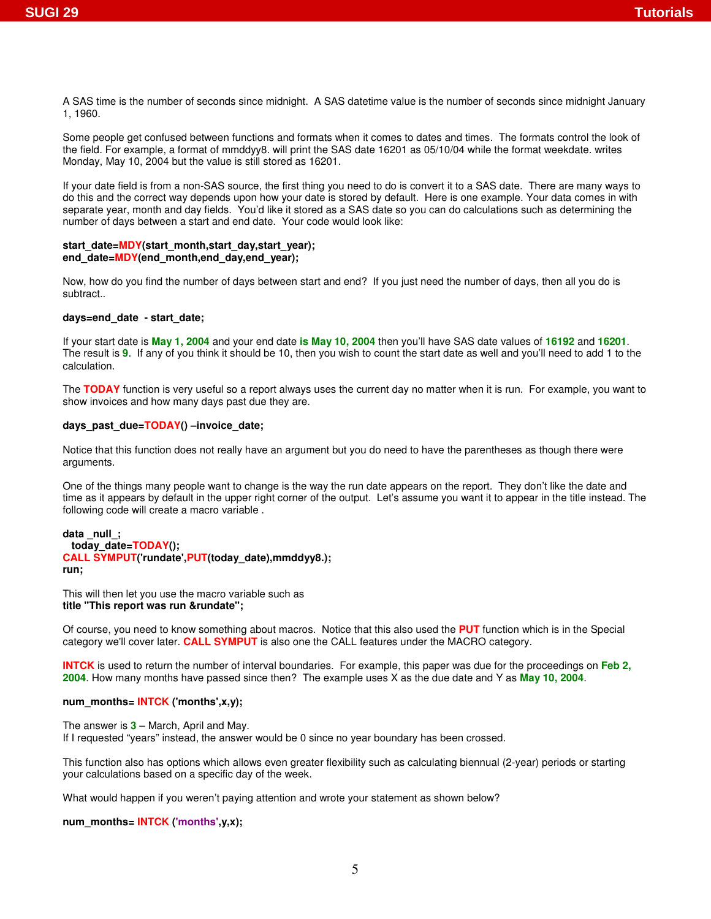A SAS time is the number of seconds since midnight. A SAS datetime value is the number of seconds since midnight January 1, 1960.

Some people get confused between functions and formats when it comes to dates and times. The formats control the look of the field. For example, a format of mmddyy8. will print the SAS date 16201 as 05/10/04 while the format weekdate. writes Monday, May 10, 2004 but the value is still stored as 16201.

If your date field is from a non-SAS source, the first thing you need to do is convert it to a SAS date. There are many ways to do this and the correct way depends upon how your date is stored by default. Here is one example. Your data comes in with separate year, month and day fields. You'd like it stored as a SAS date so you can do calculations such as determining the number of days between a start and end date. Your code would look like:

#### start\_date=MDY(start\_month,start\_day,start\_year); end\_date=MDY(end\_month,end\_day,end\_vear);

Now, how do you find the number of days between start and end? If you just need the number of days, then all you do is subtract..

## **days=end\_date - start\_date;**

If your start date is **May 1, 2004** and your end date **is May 10, 2004** then you'll have SAS date values of **16192** and **16201**. The result is **9**. If any of you think it should be 10, then you wish to count the start date as well and you'll need to add 1 to the calculation.

The **TODAY** function is very useful so a report always uses the current day no matter when it is run. For example, you want to show invoices and how many days past due they are.

## **days\_past\_due=TODAY() –invoice\_date;**

Notice that this function does not really have an argument but you do need to have the parentheses as though there were arguments.

One of the things many people want to change is the way the run date appears on the report. They don't like the date and time as it appears by default in the upper right corner of the output. Let's assume you want it to appear in the title instead. The following code will create a macro variable .

```
data _null_;
 today_date=TODAY();
CALL SYMPUT('rundate',PUT(today_date),mmddyy8.);
run;
```
This will then let you use the macro variable such as **title "This report was run &rundate";**

Of course, you need to know something about macros. Notice that this also used the **PUT** function which is in the Special category we'll cover later. **CALL SYMPUT** is also one the CALL features under the MACRO category.

**INTCK** is used to return the number of interval boundaries. For example, this paper was due for the proceedings on **Feb 2, 2004**. How many months have passed since then? The example uses X as the due date and Y as **May 10, 2004**.

# **num\_months= INTCK ('months',x,y);**

The answer is **3** – March, April and May. If I requested "years" instead, the answer would be 0 since no year boundary has been crossed.

This function also has options which allows even greater flexibility such as calculating biennual (2-year) periods or starting your calculations based on a specific day of the week.

What would happen if you weren't paying attention and wrote your statement as shown below?

**num\_months= INTCK ('months',y,x);**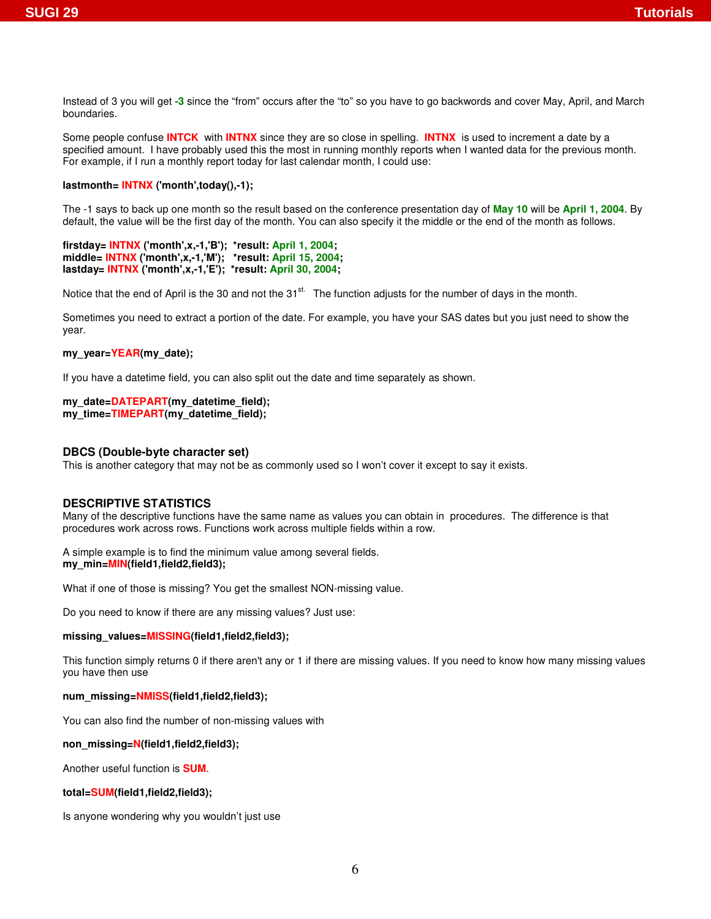Instead of 3 you will get **-3** since the "from" occurs after the "to" so you have to go backwords and cover May, April, and March boundaries.

Some people confuse **INTCK** with **INTNX** since they are so close in spelling. **INTNX** is used to increment a date by a specified amount. I have probably used this the most in running monthly reports when I wanted data for the previous month. For example, if I run a monthly report today for last calendar month, I could use:

## **lastmonth= INTNX ('month',today(),-1);**

The -1 says to back up one month so the result based on the conference presentation day of **May 10** will be **April 1, 2004**. By default, the value will be the first day of the month. You can also specify it the middle or the end of the month as follows.

**firstday= INTNX ('month',x,-1,'B'); \*result: April 1, 2004; middle= INTNX ('month',x,-1,'M'); \*result: April 15, 2004; lastday= INTNX ('month',x,-1,'E'); \*result: April 30, 2004;**

Notice that the end of April is the 30 and not the 31<sup>st.</sup> The function adjusts for the number of days in the month.

Sometimes you need to extract a portion of the date. For example, you have your SAS dates but you just need to show the year.

# my\_year=YEAR(my\_date);

If you have a datetime field, you can also split out the date and time separately as shown.

# **my\_date=DATEPART(my\_datetime\_field);**

**my\_time=TIMEPART(my\_datetime\_field);**

# **DBCS (Double-byte character set)**

This is another category that may not be as commonly used so I won't cover it except to say it exists.

# **DESCRIPTIVE STATISTICS**

Many of the descriptive functions have the same name as values you can obtain in procedures. The difference is that procedures work across rows. Functions work across multiple fields within a row.

A simple example is to find the minimum value among several fields. **my\_min=MIN(field1,field2,field3);**

What if one of those is missing? You get the smallest NON-missing value.

Do you need to know if there are any missing values? Just use:

## **missing\_values=MISSING(field1,field2,field3);**

This function simply returns 0 if there aren't any or 1 if there are missing values. If you need to know how many missing values you have then use

# **num\_missing=NMISS(field1,field2,field3);**

You can also find the number of non-missing values with

## **non\_missing=N(field1,field2,field3);**

Another useful function is **SUM**.

# **total=SUM(field1,field2,field3);**

Is anyone wondering why you wouldn't just use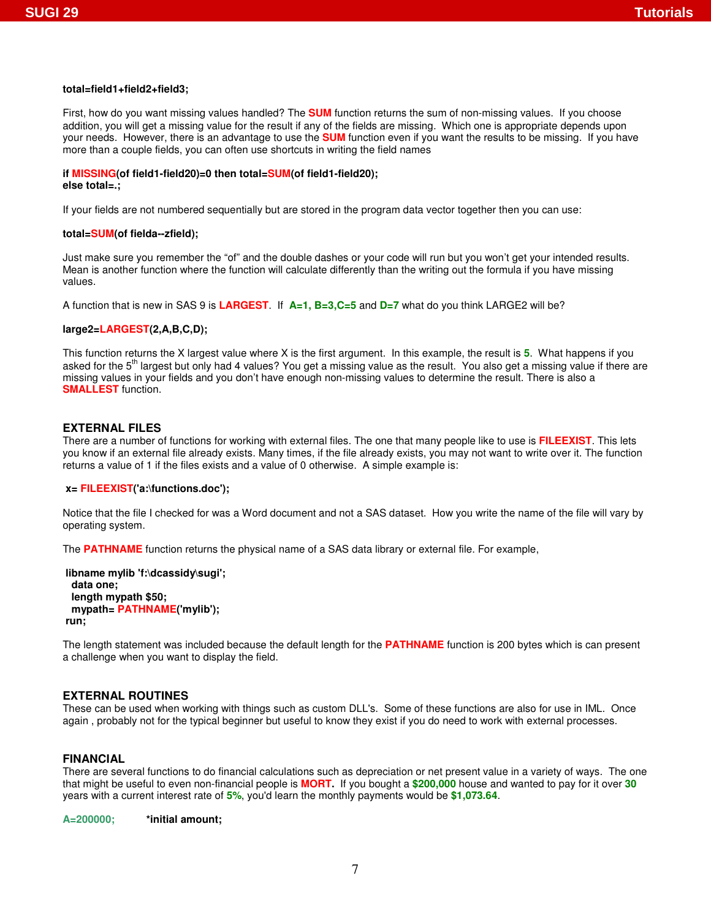## **total=field1+field2+field3;**

First, how do you want missing values handled? The **SUM** function returns the sum of non-missing values. If you choose addition, you will get a missing value for the result if any of the fields are missing. Which one is appropriate depends upon your needs. However, there is an advantage to use the **SUM** function even if you want the results to be missing. If you have more than a couple fields, you can often use shortcuts in writing the field names

# **if MISSING(of field1-field20)=0 then total=SUM(of field1-field20);**

## **else total=.;**

If your fields are not numbered sequentially but are stored in the program data vector together then you can use:

# **total=SUM(of fielda--zfield);**

Just make sure you remember the "of" and the double dashes or your code will run but you won't get your intended results. Mean is another function where the function will calculate differently than the writing out the formula if you have missing values.

A function that is new in SAS 9 is **LARGEST**. If **A=1, B=3,C=5** and **D=7** what do you think LARGE2 will be?

# **large2=LARGEST(2,A,B,C,D);**

This function returns the X largest value where X is the first argument. In this example, the result is **5**. What happens if you asked for the 5<sup>th</sup> largest but only had 4 values? You get a missing value as the result. You also get a missing value if there are missing values in your fields and you don't have enough non-missing values to determine the result. There is also a **SMALLEST** function.

### **EXTERNAL FILES**

There are a number of functions for working with external files. The one that many people like to use is **FILEEXIST**. This lets you know if an external file already exists. Many times, if the file already exists, you may not want to write over it. The function returns a value of 1 if the files exists and a value of 0 otherwise. A simple example is:

#### **x= FILEEXIST('a:\functions.doc');**

Notice that the file I checked for was a Word document and not a SAS dataset. How you write the name of the file will vary by operating system.

The **PATHNAME** function returns the physical name of a SAS data library or external file. For example,

```
libname mylib 'f:\dcassidy\sugi';
 data one;
 length mypath $50;
 mypath= PATHNAME('mylib');
run;
```
The length statement was included because the default length for the **PATHNAME** function is 200 bytes which is can present a challenge when you want to display the field.

## **EXTERNAL ROUTINES**

These can be used when working with things such as custom DLL's. Some of these functions are also for use in IML. Once again , probably not for the typical beginner but useful to know they exist if you do need to work with external processes.

## **FINANCIAL**

There are several functions to do financial calculations such as depreciation or net present value in a variety of ways. The one that might be useful to even non-financial people is **MORT.** If you bought a **\$200,000** house and wanted to pay for it over **30** years with a current interest rate of **5%**, you'd learn the monthly payments would be **\$1,073.64**.

**A=200000; \*initial amount;**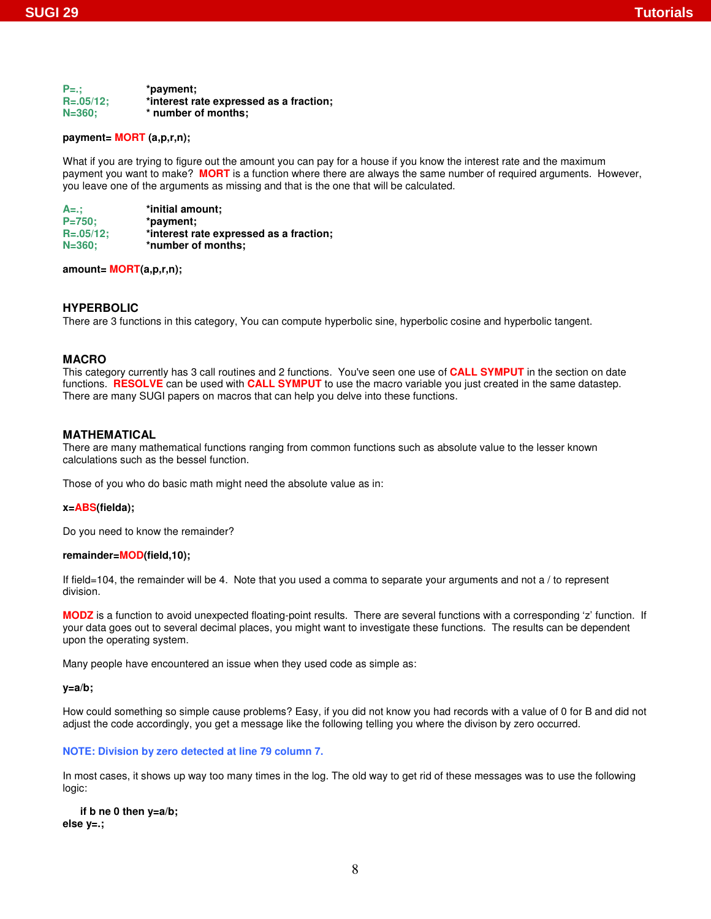| $P =$ .:       | *payment;                               |
|----------------|-----------------------------------------|
| $R = .05/12$ ; | *interest rate expressed as a fraction; |
| $N = 360$ :    | * number of months:                     |

## **payment= MORT (a,p,r,n);**

What if you are trying to figure out the amount you can pay for a house if you know the interest rate and the maximum payment you want to make? **MORT** is a function where there are always the same number of required arguments. However, you leave one of the arguments as missing and that is the one that will be calculated.

| $A = ::$       | *initial amount:                        |
|----------------|-----------------------------------------|
| $P = 750:$     | *payment:                               |
| $R = .05/12$ ; | *interest rate expressed as a fraction; |
| $N = 360$ :    | *number of months:                      |

## **amount= MORT(a,p,r,n);**

# **HYPERBOLIC**

There are 3 functions in this category, You can compute hyperbolic sine, hyperbolic cosine and hyperbolic tangent.

# **MACRO**

This category currently has 3 call routines and 2 functions. You've seen one use of **CALL SYMPUT** in the section on date functions. **RESOLVE** can be used with **CALL SYMPUT** to use the macro variable you just created in the same datastep. There are many SUGI papers on macros that can help you delve into these functions.

### **MATHEMATICAL**

There are many mathematical functions ranging from common functions such as absolute value to the lesser known calculations such as the bessel function.

Those of you who do basic math might need the absolute value as in:

#### **x=ABS(fielda);**

Do you need to know the remainder?

#### **remainder=MOD(field,10);**

If field=104, the remainder will be 4. Note that you used a comma to separate your arguments and not a / to represent division.

**MODZ** is a function to avoid unexpected floating-point results. There are several functions with a corresponding 'z' function. If your data goes out to several decimal places, you might want to investigate these functions. The results can be dependent upon the operating system.

Many people have encountered an issue when they used code as simple as:

#### **y=a/b;**

How could something so simple cause problems? Easy, if you did not know you had records with a value of 0 for B and did not adjust the code accordingly, you get a message like the following telling you where the divison by zero occurred.

#### **NOTE: Division by zero detected at line 79 column 7.**

In most cases, it shows up way too many times in the log. The old way to get rid of these messages was to use the following logic:

**if b ne 0 then y=a/b; else y=.;**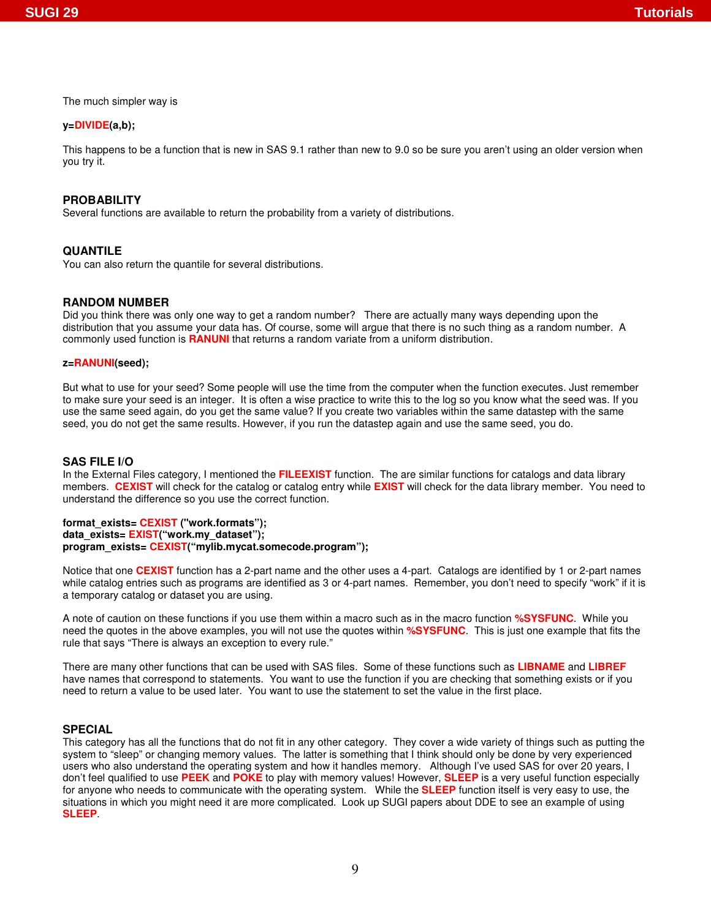The much simpler way is

# **y=DIVIDE(a,b);**

This happens to be a function that is new in SAS 9.1 rather than new to 9.0 so be sure you aren't using an older version when you try it.

# **PROBABILITY**

Several functions are available to return the probability from a variety of distributions.

# **QUANTILE**

You can also return the quantile for several distributions.

# **RANDOM NUMBER**

Did you think there was only one way to get a random number? There are actually many ways depending upon the distribution that you assume your data has. Of course, some will argue that there is no such thing as a random number. A commonly used function is **RANUNI** that returns a random variate from a uniform distribution.

## **z=RANUNI(seed);**

But what to use for your seed? Some people will use the time from the computer when the function executes. Just remember to make sure your seed is an integer. It is often a wise practice to write this to the log so you know what the seed was. If you use the same seed again, do you get the same value? If you create two variables within the same datastep with the same seed, you do not get the same results. However, if you run the datastep again and use the same seed, you do.

### **SAS FILE I/O**

In the External Files category, I mentioned the **FILEEXIST** function. The are similar functions for catalogs and data library members. **CEXIST** will check for the catalog or catalog entry while **EXIST** will check for the data library member. You need to understand the difference so you use the correct function.

### **format\_exists= CEXIST ("work.formats"); data\_exists= EXIST("work.my\_dataset");**

#### **program\_exists= CEXIST("mylib.mycat.somecode.program");**

Notice that one **CEXIST** function has a 2-part name and the other uses a 4-part. Catalogs are identified by 1 or 2-part names while catalog entries such as programs are identified as 3 or 4-part names. Remember, you don't need to specify "work" if it is a temporary catalog or dataset you are using.

A note of caution on these functions if you use them within a macro such as in the macro function **%SYSFUNC**. While you need the quotes in the above examples, you will not use the quotes within **%SYSFUNC**. This is just one example that fits the rule that says "There is always an exception to every rule."

There are many other functions that can be used with SAS files. Some of these functions such as **LIBNAME** and **LIBREF** have names that correspond to statements. You want to use the function if you are checking that something exists or if you need to return a value to be used later. You want to use the statement to set the value in the first place.

#### **SPECIAL**

This category has all the functions that do not fit in any other category. They cover a wide variety of things such as putting the system to "sleep" or changing memory values. The latter is something that I think should only be done by very experienced users who also understand the operating system and how it handles memory. Although I've used SAS for over 20 years, I don't feel qualified to use **PEEK** and **POKE** to play with memory values! However, **SLEEP** is a very useful function especially for anyone who needs to communicate with the operating system. While the **SLEEP** function itself is very easy to use, the situations in which you might need it are more complicated. Look up SUGI papers about DDE to see an example of using **SLEEP**.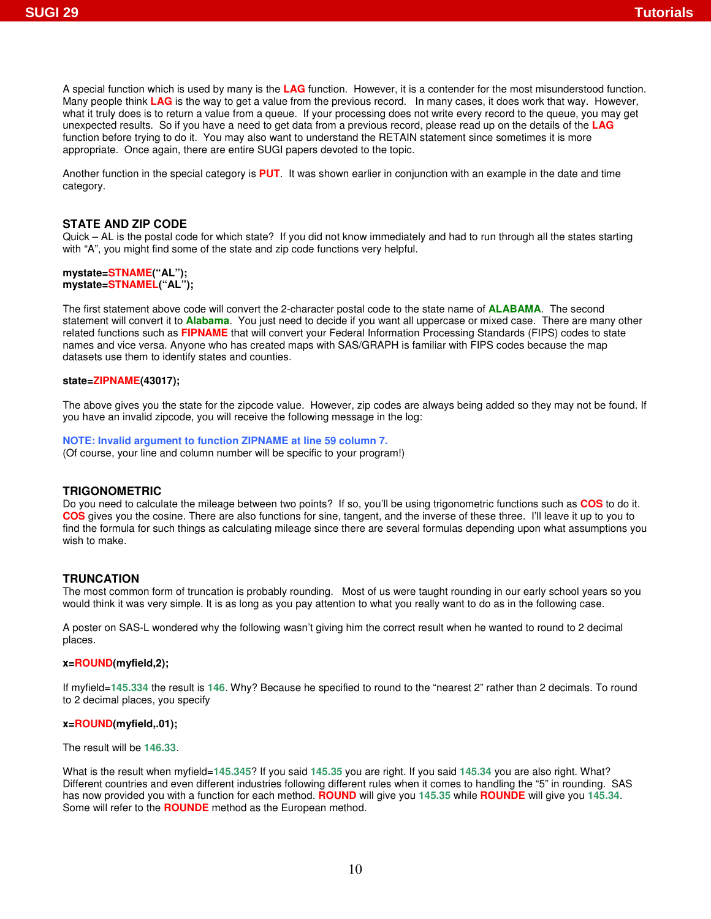A special function which is used by many is the **LAG** function. However, it is a contender for the most misunderstood function. Many people think **LAG** is the way to get a value from the previous record. In many cases, it does work that way. However, what it truly does is to return a value from a queue. If your processing does not write every record to the queue, you may get unexpected results. So if you have a need to get data from a previous record, please read up on the details of the **LAG** function before trying to do it. You may also want to understand the RETAIN statement since sometimes it is more appropriate. Once again, there are entire SUGI papers devoted to the topic.

Another function in the special category is **PUT**. It was shown earlier in conjunction with an example in the date and time category.

# **STATE AND ZIP CODE**

Quick – AL is the postal code for which state? If you did not know immediately and had to run through all the states starting with "A", you might find some of the state and zip code functions very helpful.

#### **mystate=STNAME("AL"); mystate=STNAMEL("AL");**

The first statement above code will convert the 2-character postal code to the state name of **ALABAMA**. The second statement will convert it to **Alabama**. You just need to decide if you want all uppercase or mixed case. There are many other related functions such as **FIPNAME** that will convert your Federal Information Processing Standards (FIPS) codes to state names and vice versa. Anyone who has created maps with SAS/GRAPH is familiar with FIPS codes because the map datasets use them to identify states and counties.

#### **state=ZIPNAME(43017);**

The above gives you the state for the zipcode value. However, zip codes are always being added so they may not be found. If you have an invalid zipcode, you will receive the following message in the log:

**NOTE: Invalid argument to function ZIPNAME at line 59 column 7.**

(Of course, your line and column number will be specific to your program!)

#### **TRIGONOMETRIC**

Do you need to calculate the mileage between two points? If so, you'll be using trigonometric functions such as **COS** to do it. **COS** gives you the cosine. There are also functions for sine, tangent, and the inverse of these three. I'll leave it up to you to find the formula for such things as calculating mileage since there are several formulas depending upon what assumptions you wish to make.

#### **TRUNCATION**

The most common form of truncation is probably rounding. Most of us were taught rounding in our early school years so you would think it was very simple. It is as long as you pay attention to what you really want to do as in the following case.

A poster on SAS-L wondered why the following wasn't giving him the correct result when he wanted to round to 2 decimal places.

#### **x=ROUND(myfield,2);**

If myfield=**145.334** the result is **146**. Why? Because he specified to round to the "nearest 2" rather than 2 decimals. To round to 2 decimal places, you specify

#### **x=ROUND(myfield,.01);**

The result will be **146.33**.

What is the result when myfield=**145.345**? If you said **145.35** you are right. If you said **145.34** you are also right. What? Different countries and even different industries following different rules when it comes to handling the "5" in rounding. SAS has now provided you with a function for each method. **ROUND** will give you **145.35** while **ROUNDE** will give you **145.34**. Some will refer to the **ROUNDE** method as the European method.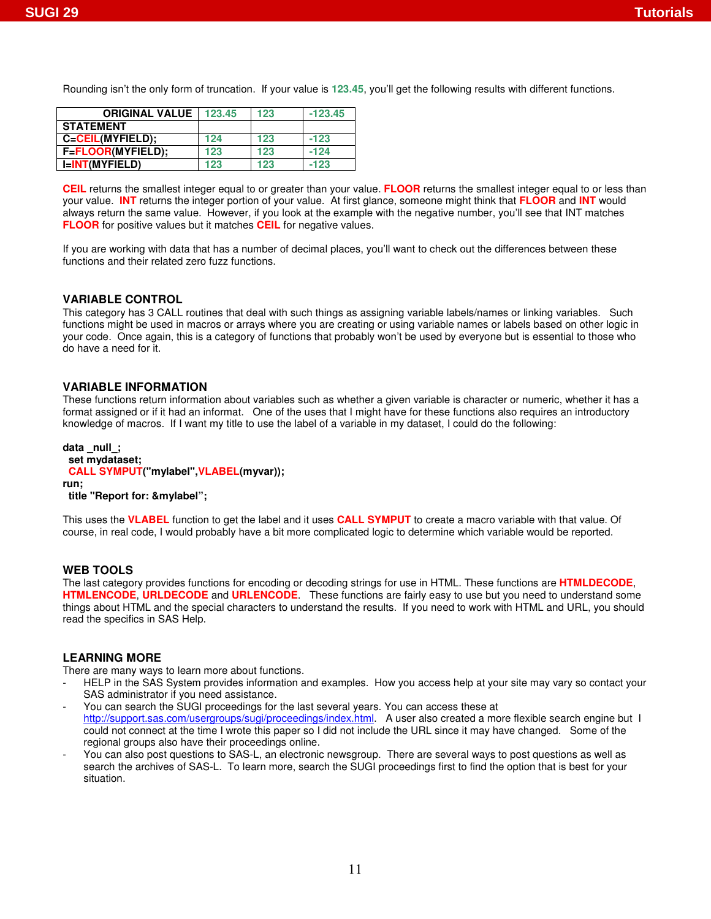Rounding isn't the only form of truncation. If your value is **123.45**, you'll get the following results with different functions.

| <b>ORIGINAL VALUE</b> | 123.45 | 123 | $-123.45$ |
|-----------------------|--------|-----|-----------|
| <b>STATEMENT</b>      |        |     |           |
| C=CEIL(MYFIELD);      | 124    | 123 | $-123$    |
| F=FLOOR(MYFIELD);     | 123    | 123 | $-124$    |
| I=INT(MYFIELD)        | 123    | 123 | $-123$    |

**CEIL** returns the smallest integer equal to or greater than your value. **FLOOR** returns the smallest integer equal to or less than your value. **INT** returns the integer portion of your value. At first glance, someone might think that **FLOOR** and **INT** would always return the same value. However, if you look at the example with the negative number, you'll see that INT matches **FLOOR** for positive values but it matches **CEIL** for negative values.

If you are working with data that has a number of decimal places, you'll want to check out the differences between these functions and their related zero fuzz functions.

## **VARIABLE CONTROL**

This category has 3 CALL routines that deal with such things as assigning variable labels/names or linking variables. Such functions might be used in macros or arrays where you are creating or using variable names or labels based on other logic in your code. Once again, this is a category of functions that probably won't be used by everyone but is essential to those who do have a need for it.

#### **VARIABLE INFORMATION**

These functions return information about variables such as whether a given variable is character or numeric, whether it has a format assigned or if it had an informat. One of the uses that I might have for these functions also requires an introductory knowledge of macros. If I want my title to use the label of a variable in my dataset, I could do the following:

### **data \_null\_; set mydataset; CALL SYMPUT("mylabel",VLABEL(myvar)); run;**

### **title "Report for: &mylabel";**

This uses the **VLABEL** function to get the label and it uses **CALL SYMPUT** to create a macro variable with that value. Of course, in real code, I would probably have a bit more complicated logic to determine which variable would be reported.

## **WEB TOOLS**

The last category provides functions for encoding or decoding strings for use in HTML. These functions are **HTMLDECODE**, **HTMLENCODE**, **URLDECODE** and **URLENCODE**. These functions are fairly easy to use but you need to understand some things about HTML and the special characters to understand the results. If you need to work with HTML and URL, you should read the specifics in SAS Help.

## **LEARNING MORE**

There are many ways to learn more about functions.

- HELP in the SAS System provides information and examples. How you access help at your site may vary so contact your SAS administrator if you need assistance.
- You can search the SUGI proceedings for the last several years. You can access these at http://support.sas.com/usergroups/sugi/proceedings/index.html. A user also created a more flexible search engine but I could not connect at the time I wrote this paper so I did not include the URL since it may have changed. Some of the regional groups also have their proceedings online.
- You can also post questions to SAS-L, an electronic newsgroup. There are several ways to post questions as well as search the archives of SAS-L. To learn more, search the SUGI proceedings first to find the option that is best for your situation.